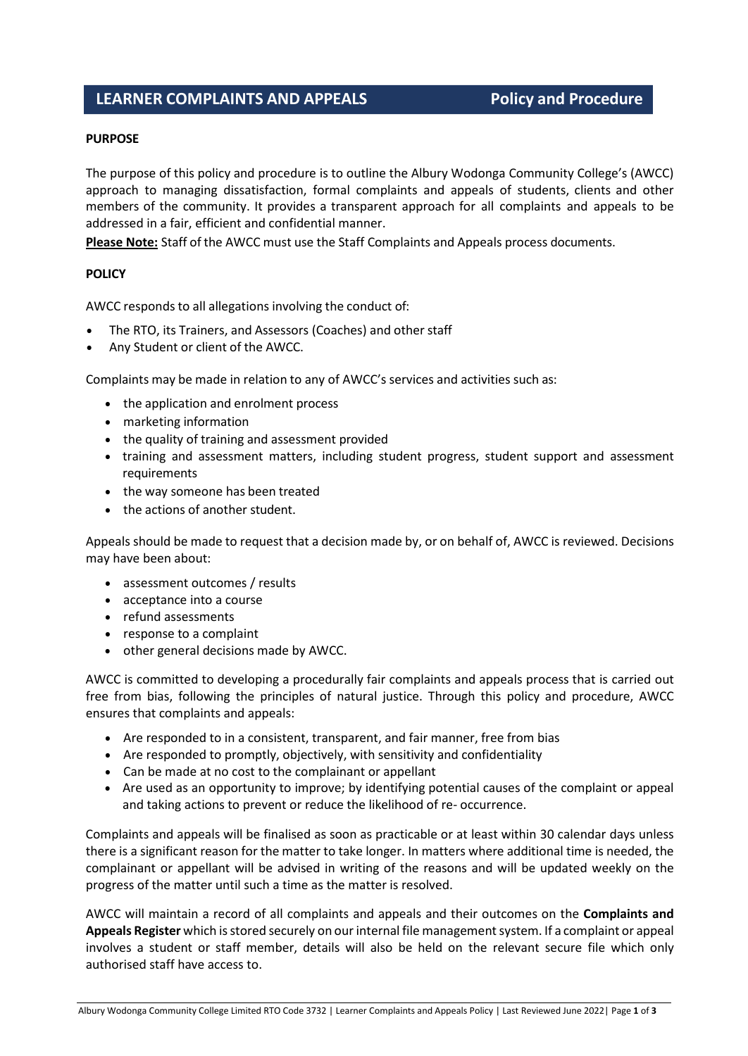# **LEARNER COMPLAINTS AND APPEALS Policy and Procedure**

#### **PURPOSE**

The purpose of this policy and procedure is to outline the Albury Wodonga Community College's (AWCC) approach to managing dissatisfaction, formal complaints and appeals of students, clients and other members of the community. It provides a transparent approach for all complaints and appeals to be addressed in a fair, efficient and confidential manner.

**Please Note:** Staff of the AWCC must use the Staff Complaints and Appeals process documents.

#### **POLICY**

AWCC responds to all allegations involving the conduct of:

- The RTO, its Trainers, and Assessors (Coaches) and other staff
- Any Student or client of the AWCC.

Complaints may be made in relation to any of AWCC's services and activities such as:

- the application and enrolment process
- marketing information
- the quality of training and assessment provided
- training and assessment matters, including student progress, student support and assessment requirements
- the way someone has been treated
- the actions of another student.

Appeals should be made to request that a decision made by, or on behalf of, AWCC is reviewed. Decisions may have been about:

- assessment outcomes / results
- acceptance into a course
- refund assessments
- response to a complaint
- other general decisions made by AWCC.

AWCC is committed to developing a procedurally fair complaints and appeals process that is carried out free from bias, following the principles of natural justice. Through this policy and procedure, AWCC ensures that complaints and appeals:

- Are responded to in a consistent, transparent, and fair manner, free from bias
- Are responded to promptly, objectively, with sensitivity and confidentiality
- Can be made at no cost to the complainant or appellant
- Are used as an opportunity to improve; by identifying potential causes of the complaint or appeal and taking actions to prevent or reduce the likelihood of re- occurrence.

Complaints and appeals will be finalised as soon as practicable or at least within 30 calendar days unless there is a significant reason for the matter to take longer. In matters where additional time is needed, the complainant or appellant will be advised in writing of the reasons and will be updated weekly on the progress of the matter until such a time as the matter is resolved.

AWCC will maintain a record of all complaints and appeals and their outcomes on the **Complaints and Appeals Register** which is stored securely on our internal file management system. If a complaint or appeal involves a student or staff member, details will also be held on the relevant secure file which only authorised staff have access to.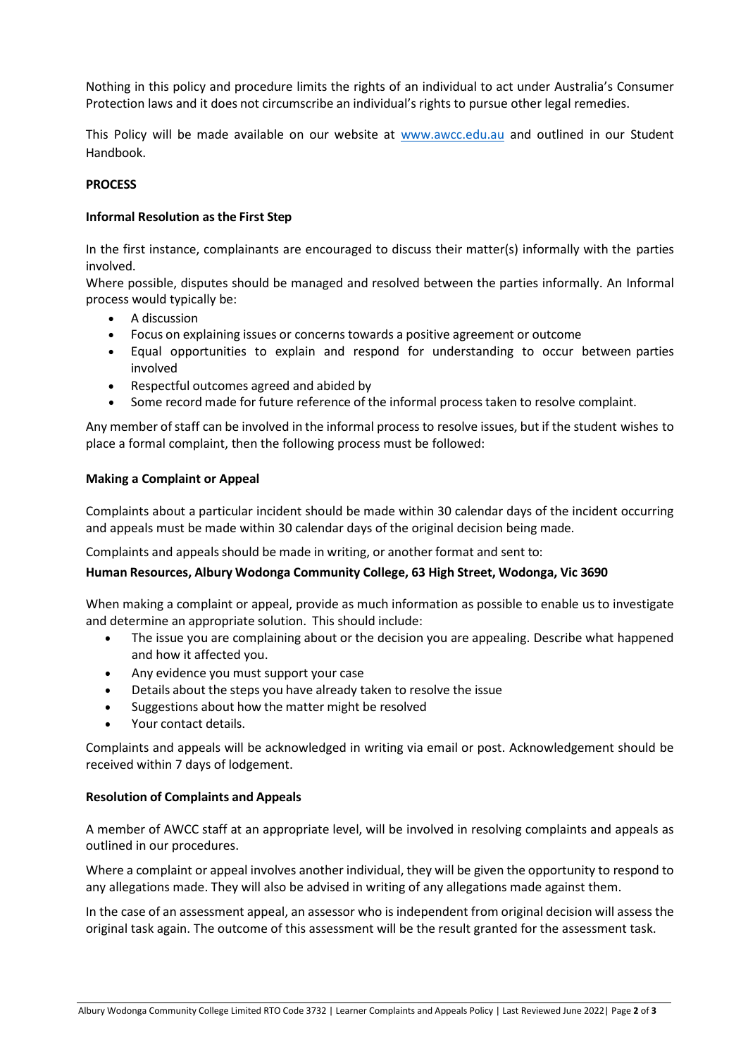Nothing in this policy and procedure limits the rights of an individual to act under Australia's Consumer Protection laws and it does not circumscribe an individual's rights to pursue other legal remedies.

This Policy will be made available on our website at [www.awcc.edu.au](http://www.awcc.edu.au/) and outlined in our Student Handbook.

# **PROCESS**

# **Informal Resolution asthe First Step**

In the first instance, complainants are encouraged to discuss their matter(s) informally with the parties involved.

Where possible, disputes should be managed and resolved between the parties informally. An Informal process would typically be:

- A discussion
- Focus on explaining issues or concerns towards a positive agreement or outcome
- Equal opportunities to explain and respond for understanding to occur between parties involved
- Respectful outcomes agreed and abided by
- Some record made for future reference of the informal process taken to resolve complaint.

Any member ofstaff can be involved in the informal process to resolve issues, but if the student wishes to place a formal complaint, then the following process must be followed:

#### **Making a Complaint or Appeal**

Complaints about a particular incident should be made within 30 calendar days of the incident occurring and appeals must be made within 30 calendar days of the original decision being made.

Complaints and appeals should be made in writing, or another format and sent to:

#### **Human Resources, Albury Wodonga Community College, 63 High Street, Wodonga, Vic 3690**

When making a complaint or appeal, provide as much information as possible to enable us to investigate and determine an appropriate solution. This should include:

- The issue you are complaining about or the decision you are appealing. Describe what happened and how it affected you.
- Any evidence you must support your case
- Details about the steps you have already taken to resolve the issue
- Suggestions about how the matter might be resolved
- Your contact details.

Complaints and appeals will be acknowledged in writing via email or post. Acknowledgement should be received within 7 days of lodgement.

#### **Resolution of Complaints and Appeals**

A member of AWCC staff at an appropriate level, will be involved in resolving complaints and appeals as outlined in our procedures.

Where a complaint or appeal involves another individual, they will be given the opportunity to respond to any allegations made. They will also be advised in writing of any allegations made against them.

In the case of an assessment appeal, an assessor who is independent from original decision will assess the original task again. The outcome of this assessment will be the result granted for the assessment task.